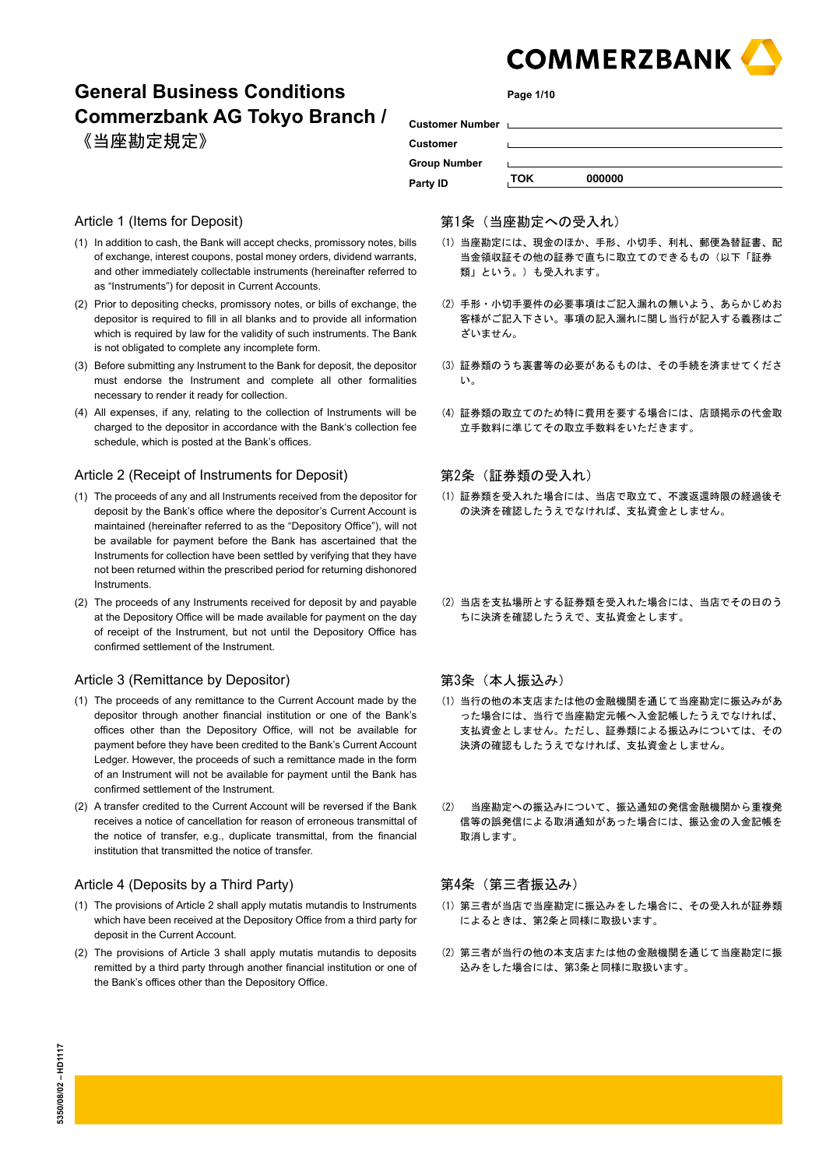

# **General Business Conditions Commerzbank AG Tokyo Branch /**  《当座勘定規定》

**Page 1/10**

| Customer Number Languary |            |        |
|--------------------------|------------|--------|
| <b>Customer</b>          |            |        |
| <b>Group Number</b>      |            |        |
| Party ID                 | <b>TOK</b> | 000000 |

# Article 1 (Items for Deposit)

- (1) In addition to cash, the Bank will accept checks, promissory notes, bills of exchange, interest coupons, postal money orders, dividend warrants, and other immediately collectable instruments (hereinafter referred to as "Instruments") for deposit in Current Accounts.
- (2) Prior to depositing checks, promissory notes, or bills of exchange, the depositor is required to fill in all blanks and to provide all information which is required by law for the validity of such instruments. The Bank is not obligated to complete any incomplete form.
- (3) Before submitting any Instrument to the Bank for deposit, the depositor must endorse the Instrument and complete all other formalities necessary to render it ready for collection.
- (4) All expenses, if any, relating to the collection of Instruments will be charged to the depositor in accordance with the Bank's collection fee schedule, which is posted at the Bank's offices.

# Article 2 (Receipt of Instruments for Deposit)

- (1) The proceeds of any and all Instruments received from the depositor for deposit by the Bank's office where the depositor's Current Account is maintained (hereinafter referred to as the "Depository Office"), will not be available for payment before the Bank has ascertained that the Instruments for collection have been settled by verifying that they have not been returned within the prescribed period for returning dishonored Instruments.
- (2) The proceeds of any Instruments received for deposit by and payable at the Depository Office will be made available for payment on the day of receipt of the Instrument, but not until the Depository Office has confirmed settlement of the Instrument.

#### Article 3 (Remittance by Depositor)

- (1) The proceeds of any remittance to the Current Account made by the depositor through another financial institution or one of the Bank's offices other than the Depository Office, will not be available for payment before they have been credited to the Bank's Current Account Ledger. However, the proceeds of such a remittance made in the form of an Instrument will not be available for payment until the Bank has confirmed settlement of the Instrument.
- (2) A transfer credited to the Current Account will be reversed if the Bank receives a notice of cancellation for reason of erroneous transmittal of the notice of transfer, e.g., duplicate transmittal, from the financial institution that transmitted the notice of transfer.

#### Article 4 (Deposits by a Third Party)

- (1) The provisions of Article 2 shall apply mutatis mutandis to Instruments which have been received at the Depository Office from a third party for deposit in the Current Account.
- (2) The provisions of Article 3 shall apply mutatis mutandis to deposits remitted by a third party through another financial institution or one of the Bank's offices other than the Depository Office.

#### 第1条(当座勘定への受入れ)

- (1) 当座勘定には、現金のほか、手形、小切手、利札、郵便為替証書、配 当金領収証その他の証券で直ちに取立てのできるもの(以下「証券 類」という。)も受入れます。
- (2) 手形・小切手要件の必要事項はご記入漏れの無いよう、あらかじめお 客様がご記入下さい。事項の記入漏れに関し当行が記入する義務はご ざいません。
- (3) 証券類のうち裏書等の必要があるものは、その手続を済ませてくださ い。
- (4) 証券類の取立てのため特に費用を要する場合には、店頭掲示の代金取 立手数料に準じてその取立手数料をいただきます。

# 第2条(証券類の受入れ)

- (1) 証券類を受入れた場合には、当店で取立て、不渡返還時限の経過後そ の決済を確認したうえでなければ、支払資金としません。
- (2) 当店を支払場所とする証券類を受入れた場合には、当店でその日のう ちに決済を確認したうえで、支払資金とします。

# 第3条 (本人振込み)

- (1) 当行の他の本支店または他の金融機関を通じて当座勘定に振込みがあ った場合には、当行で当座勘定元帳へ入金記帳したうえでなければ、 支払資金としません。ただし、証券類による振込みについては、その 決済の確認もしたうえでなければ、支払資金としません。
- (2) 当座勘定への振込みについて、振込通知の発信金融機関から重複発 信等の誤発信による取消通知があった場合には、振込金の入金記帳を 取消します。

# 第4条(第三者振込み)

- (1) 第三者が当店で当座勘定に振込みをした場合に、その受入れが証券類 によるときは、第2条と同様に取扱います。
- (2) 第三者が当行の他の本支店または他の金融機関を通じて当座勘定に振 込みをした場合には、第3条と同様に取扱います。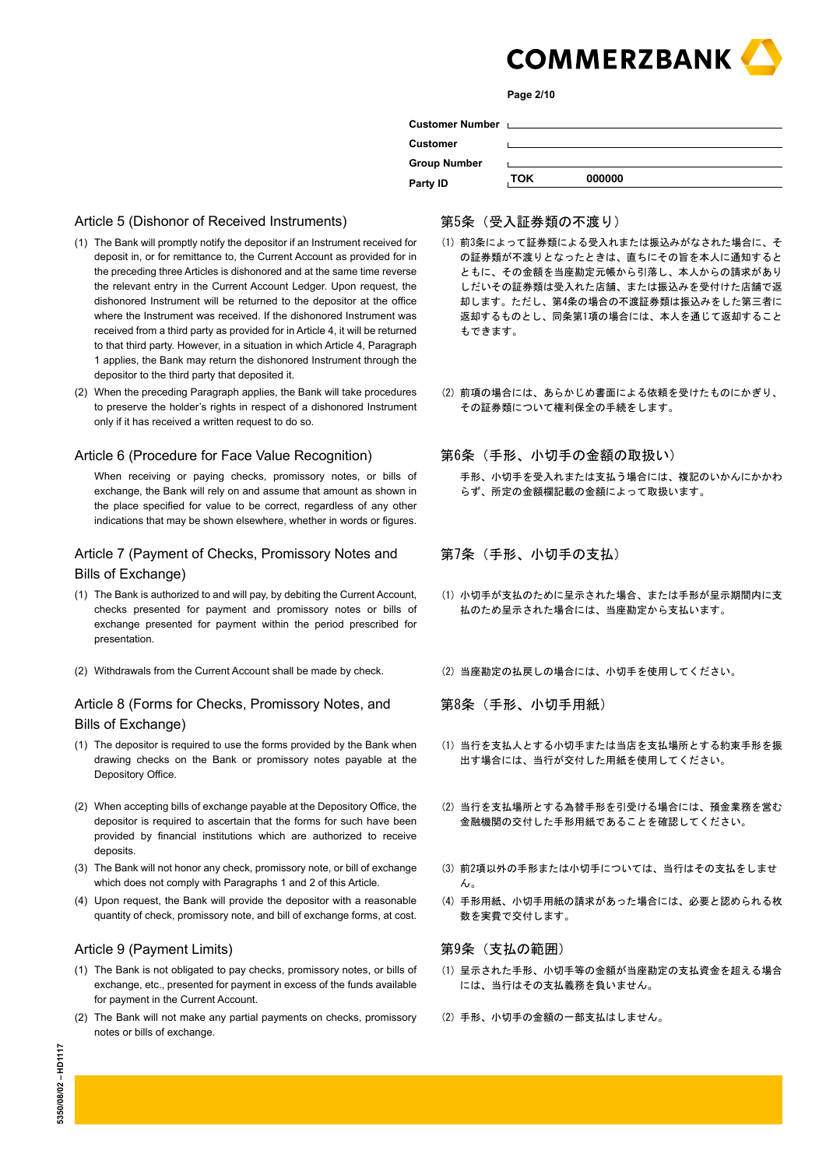

**Page 2/10**

|                     |     | Customer Number Later and Customer Number |
|---------------------|-----|-------------------------------------------|
| Customer            |     |                                           |
| <b>Group Number</b> |     |                                           |
| Party ID            | ток | 000000                                    |

# Article 5 (Dishonor of Received Instruments)

- (1) The Bank will promptly notify the depositor if an Instrument received for deposit in, or for remittance to, the Current Account as provided for in the preceding three Articles is dishonored and at the same time reverse the relevant entry in the Current Account Ledger. Upon request, the dishonored Instrument will be returned to the depositor at the office where the Instrument was received. If the dishonored Instrument was received from a third party as provided for in Article 4, it will be returned to that third party. However, in a situation in which Article 4, Paragraph 1 applies, the Bank may return the dishonored Instrument through the depositor to the third party that deposited it.
- (2) When the preceding Paragraph applies, the Bank will take procedures to preserve the holder's rights in respect of a dishonored Instrument only if it has received a written request to do so.

#### Article 6 (Procedure for Face Value Recognition)

When receiving or paying checks, promissory notes, or bills of exchange, the Bank will rely on and assume that amount as shown in the place specified for value to be correct, regardless of any other indications that may be shown elsewhere, whether in words or figures.

# Article 7 (Payment of Checks, Promissory Notes and Bills of Exchange)

- (1) The Bank is authorized to and will pay, by debiting the Current Account, checks presented for payment and promissory notes or bills of exchange presented for payment within the period prescribed for presentation.
- (2) Withdrawals from the Current Account shall be made by check. (2) 当座勘定の払戻しの場合には、小切手を使用してください。

# Article 8 (Forms for Checks, Promissory Notes, and Bills of Exchange)

- (1) The depositor is required to use the forms provided by the Bank when drawing checks on the Bank or promissory notes payable at the Depository Office.
- (2) When accepting bills of exchange payable at the Depository Office, the depositor is required to ascertain that the forms for such have been provided by financial institutions which are authorized to receive deposits.
- (3) The Bank will not honor any check, promissory note, or bill of exchange which does not comply with Paragraphs 1 and 2 of this Article.
- (4) Upon request, the Bank will provide the depositor with a reasonable quantity of check, promissory note, and bill of exchange forms, at cost.

# Article 9 (Payment Limits)

- (1) The Bank is not obligated to pay checks, promissory notes, or bills of exchange, etc., presented for payment in excess of the funds available for payment in the Current Account.
- (2) The Bank will not make any partial payments on checks, promissory notes or bills of exchange.

#### 第5条(受入証券類の不渡り)

- (1) 前3条によって証券類による受入れまたは振込みがなされた場合に、そ の証券類が不渡りとなったときは、直ちにその旨を本人に通知すると ともに、その金額を当座勘定元帳から引落し、本人からの請求があり しだいその証券類は受入れた店舗、または振込みを受付けた店舗で返 却します。ただし、第4条の場合の不渡証券類は振込みをした第三者に 返却するものとし、同条第1項の場合には、本人を通じて返却すること もできます。
- (2) 前項の場合には、あらかじめ書面による依頼を受けたものにかぎり、 その証券類について権利保全の手続をします。

# 第6条(手形、小切手の金額の取扱い)

 手形、小切手を受入れまたは支払う場合には、複記のいかんにかかわ らず、所定の金額欄記載の金額によって取扱います。

第7条(手形、小切手の支払)

- (1) 小切手が支払のために呈示された場合、または手形が呈示期間内に支 払のため呈示された場合には、当座勘定から支払います。
- 

第8条(手形、小切手用紙)

- (1) 当行を支払人とする小切手または当店を支払場所とする約束手形を振 出す場合には、当行が交付した用紙を使用してください。
- (2) 当行を支払場所とする為替手形を引受ける場合には、預金業務を営む 金融機関の交付した手形用紙であることを確認してください。
- (3) 前2項以外の手形または小切手については、当行はその支払をしませ  $\mathcal{L}_{\lambda}$
- (4) 手形用紙、小切手用紙の請求があった場合には、必要と認められる枚 数を実費で交付します。

#### 第9条(支払の範囲)

- (1) 呈示された手形、小切手等の金額が当座勘定の支払資金を超える場合 には、当行はその支払義務を負いません。
- (2) 手形、小切手の金額の一部支払はしません。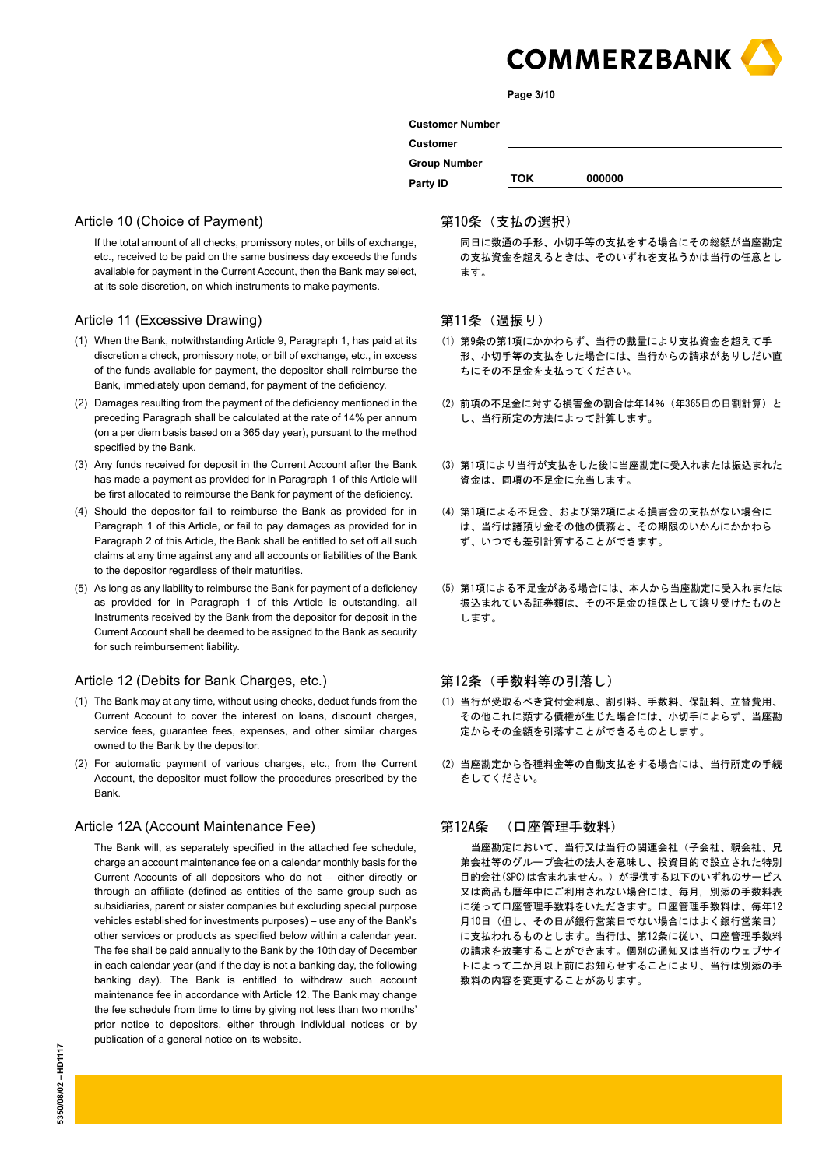

**Page 3/10**

|                     |     | Customer Number Laterature and Customer Number |
|---------------------|-----|------------------------------------------------|
| <b>Customer</b>     |     |                                                |
| <b>Group Number</b> |     |                                                |
| Party ID            | ток | 000000                                         |
|                     |     |                                                |

# Article 10 (Choice of Payment)

If the total amount of all checks, promissory notes, or bills of exchange, etc., received to be paid on the same business day exceeds the funds available for payment in the Current Account, then the Bank may select, at its sole discretion, on which instruments to make payments.

# Article 11 (Excessive Drawing)

- (1) When the Bank, notwithstanding Article 9, Paragraph 1, has paid at its discretion a check, promissory note, or bill of exchange, etc., in excess of the funds available for payment, the depositor shall reimburse the Bank, immediately upon demand, for payment of the deficiency.
- (2) Damages resulting from the payment of the deficiency mentioned in the preceding Paragraph shall be calculated at the rate of 14% per annum (on a per diem basis based on a 365 day year), pursuant to the method specified by the Bank.
- (3) Any funds received for deposit in the Current Account after the Bank has made a payment as provided for in Paragraph 1 of this Article will be first allocated to reimburse the Bank for payment of the deficiency.
- (4) Should the depositor fail to reimburse the Bank as provided for in Paragraph 1 of this Article, or fail to pay damages as provided for in Paragraph 2 of this Article, the Bank shall be entitled to set off all such claims at any time against any and all accounts or liabilities of the Bank to the depositor regardless of their maturities.
- (5) As long as any liability to reimburse the Bank for payment of a deficiency as provided for in Paragraph 1 of this Article is outstanding, all Instruments received by the Bank from the depositor for deposit in the Current Account shall be deemed to be assigned to the Bank as security for such reimbursement liability.

### Article 12 (Debits for Bank Charges, etc.)

- (1) The Bank may at any time, without using checks, deduct funds from the Current Account to cover the interest on loans, discount charges, service fees, guarantee fees, expenses, and other similar charges owned to the Bank by the depositor.
- (2) For automatic payment of various charges, etc., from the Current Account, the depositor must follow the procedures prescribed by the Bank.

#### Article 12A (Account Maintenance Fee)

The Bank will, as separately specified in the attached fee schedule, charge an account maintenance fee on a calendar monthly basis for the Current Accounts of all depositors who do not – either directly or through an affiliate (defined as entities of the same group such as subsidiaries, parent or sister companies but excluding special purpose vehicles established for investments purposes) – use any of the Bank's other services or products as specified below within a calendar year. The fee shall be paid annually to the Bank by the 10th day of December in each calendar year (and if the day is not a banking day, the following banking day). The Bank is entitled to withdraw such account maintenance fee in accordance with Article 12. The Bank may change the fee schedule from time to time by giving not less than two months' prior notice to depositors, either through individual notices or by publication of a general notice on its website.

#### 第10条(支払の選択)

 同日に数通の手形、小切手等の支払をする場合にその総額が当座勘定 の支払資金を超えるときは、そのいずれを支払うかは当行の任意とし ます。

#### 第11条 (過振り)

- (1) 第9条の第1項にかかわらず、当行の裁量により支払資金を超えて手 形、小切手等の支払をした場合には、当行からの請求がありしだい直 ちにその不足金を支払ってください。
- (2) 前項の不足金に対する損害金の割合は年14% (年365日の日割計算)と し、当行所定の方法によって計算します。
- (3) 第1項により当行が支払をした後に当座勘定に受入れまたは振込まれた 資金は、同項の不足金に充当します。
- (4) 第1項による不足金、および第2項による損害金の支払がない場合に は、当行は諸預り金その他の債務と、その期限のいかんにかかわら ず、いつでも差引計算することができます。
- (5) 第1項による不足金がある場合には、本人から当座勘定に受入れまたは 振込まれている証券類は、その不足金の担保として譲り受けたものと します。

#### 第12条(手数料等の引落し)

- (1) 当行が受取るべき貸付金利息、割引料、手数料、保証料、立替費用、 その他これに類する債権が生じた場合には、小切手によらず、当座勘 定からその金額を引落すことができるものとします。
- (2) 当座勘定から各種料金等の自動支払をする場合には、当行所定の手続 をしてください。

#### 第12A条 (口座管理手数料)

 当座勘定において、当行又は当行の関連会社(子会社、親会社、兄 弟会社等のグループ会社の法人を意味し、投資目的で設立された特別 目的会社(SPC)は含まれません。)が提供する以下のいずれのサービス 又は商品も暦年中にご利用されない場合には、毎月, 別添の手数料表 に従って口座管理手数料をいただきます。口座管理手数料は、毎年12 月10日(但し、その日が銀行営業日でない場合にはよく銀行営業日) に支払われるものとします。当行は、第12条に従い、口座管理手数料 の請求を放棄することができます。個別の通知又は当行のウェブサイ トによって二か月以上前にお知らせすることにより、当行は別添の手 数料の内容を変更することがあります。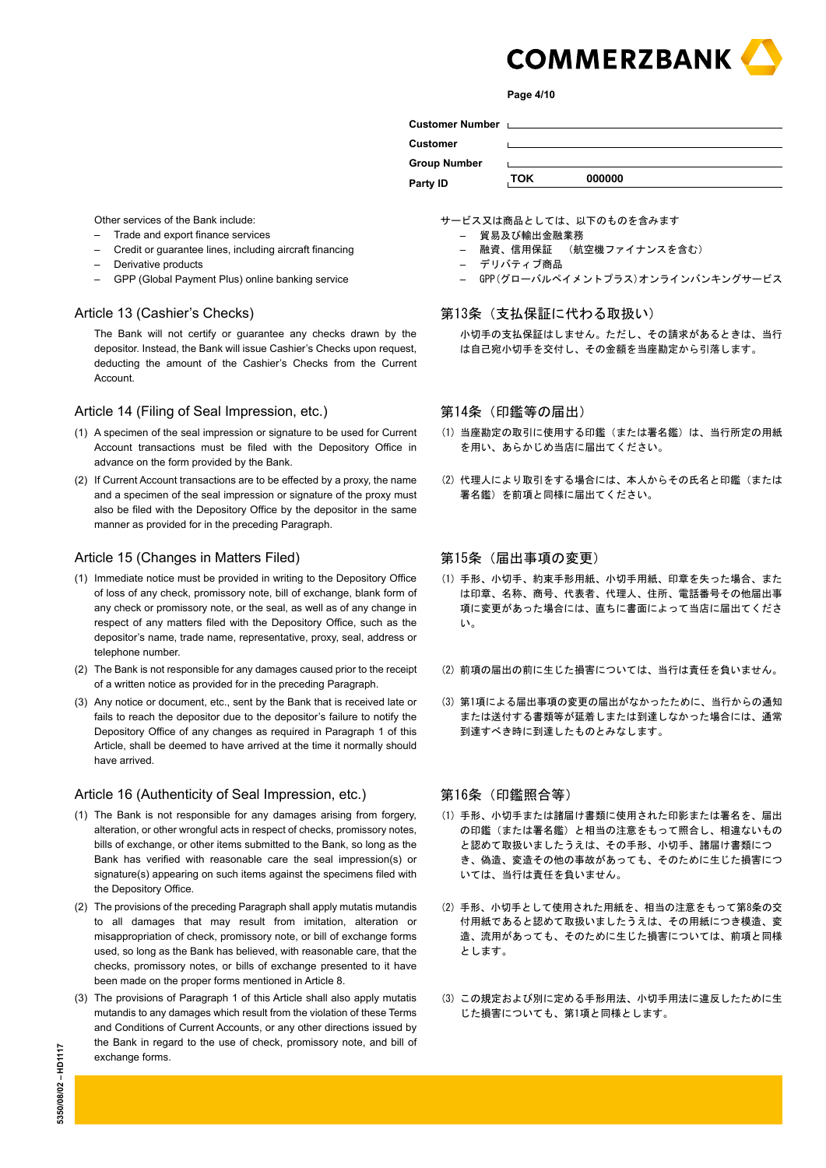

**Page 4/10**

| <b>Customer Number</b> |     | and the contract of the contract of the contract of the contract of the contract of the contract of the contract of |  |
|------------------------|-----|---------------------------------------------------------------------------------------------------------------------|--|
| <b>Customer</b>        |     |                                                                                                                     |  |
| <b>Group Number</b>    |     |                                                                                                                     |  |
| Party ID               | ток | 000000                                                                                                              |  |

Other services of the Bank include:

- Trade and export finance services
- Credit or guarantee lines, including aircraft financing
- Derivative products
- GPP (Global Payment Plus) online banking service

#### Article 13 (Cashier's Checks)

The Bank will not certify or guarantee any checks drawn by the depositor. Instead, the Bank will issue Cashier's Checks upon request, deducting the amount of the Cashier's Checks from the Current **Account** 

#### Article 14 (Filing of Seal Impression, etc.)

- (1) A specimen of the seal impression or signature to be used for Current Account transactions must be filed with the Depository Office in advance on the form provided by the Bank.
- (2) If Current Account transactions are to be effected by a proxy, the name and a specimen of the seal impression or signature of the proxy must also be filed with the Depository Office by the depositor in the same manner as provided for in the preceding Paragraph.

#### Article 15 (Changes in Matters Filed)

- (1) Immediate notice must be provided in writing to the Depository Office of loss of any check, promissory note, bill of exchange, blank form of any check or promissory note, or the seal, as well as of any change in respect of any matters filed with the Depository Office, such as the depositor's name, trade name, representative, proxy, seal, address or telephone number.
- (2) The Bank is not responsible for any damages caused prior to the receipt of a written notice as provided for in the preceding Paragraph.
- (3) Any notice or document, etc., sent by the Bank that is received late or fails to reach the depositor due to the depositor's failure to notify the Depository Office of any changes as required in Paragraph 1 of this Article, shall be deemed to have arrived at the time it normally should have arrived.

#### Article 16 (Authenticity of Seal Impression, etc.)

- (1) The Bank is not responsible for any damages arising from forgery, alteration, or other wrongful acts in respect of checks, promissory notes, bills of exchange, or other items submitted to the Bank, so long as the Bank has verified with reasonable care the seal impression(s) or signature(s) appearing on such items against the specimens filed with the Depository Office.
- (2) The provisions of the preceding Paragraph shall apply mutatis mutandis to all damages that may result from imitation, alteration or misappropriation of check, promissory note, or bill of exchange forms used, so long as the Bank has believed, with reasonable care, that the checks, promissory notes, or bills of exchange presented to it have been made on the proper forms mentioned in Article 8.
- (3) The provisions of Paragraph 1 of this Article shall also apply mutatis mutandis to any damages which result from the violation of these Terms and Conditions of Current Accounts, or any other directions issued by the Bank in regard to the use of check, promissory note, and bill of exchange forms.

サービス又は商品としては、以下のものを含みます

- 貿易及び輸出金融業務
- 融資、信用保証 (航空機ファイナンスを含む)
- デリバティブ商品
- GPP(グローバルペイメントプラス)オンラインバンキングサービス

#### 第13条(支払保証に代わる取扱い)

 小切手の支払保証はしません。ただし、その請求があるときは、当行 は自己宛小切手を交付し、その金額を当座勘定から引落します。

# 第14条(印鑑等の届出)

- (1) 当座勘定の取引に使用する印鑑(または署名鑑)は、当行所定の用紙 を用い、あらかじめ当店に届出てください。
- (2) 代理人により取引をする場合には、本人からその氏名と印鑑(または 署名鑑)を前項と同様に届出てください。

# 第15条(届出事項の変更)

- (1) 手形、小切手、約束手形用紙、小切手用紙、印章を失った場合、また は印章、名称、商号、代表者、代理人、住所、電話番号その他届出事 項に変更があった場合には、直ちに書面によって当店に届出てくださ い。
- (2) 前項の届出の前に生じた損害については、当行は責任を負いません。
- (3) 第1項による届出事項の変更の届出がなかったために、当行からの通知 または送付する書類等が延着しまたは到達しなかった場合には、通常 到達すべき時に到達したものとみなします。

#### 第16条(印鑑照合等)

- (1) 手形、小切手または諸届け書類に使用された印影または署名を、届出 の印鑑(または署名鑑)と相当の注意をもって照合し、相違ないもの と認めて取扱いましたうえは、その手形、小切手、諸届け書類につ き、偽造、変造その他の事故があっても、そのために生じた損害につ いては、当行は責任を負いません。
- (2) 手形、小切手として使用された用紙を、相当の注意をもって第8条の交 付用紙であると認めて取扱いましたうえは、その用紙につき模造、変 造、流用があっても、そのために生じた損害については、前項と同様 とします。
- (3) この規定および別に定める手形用法、小切手用法に違反したために生 じた損害についても、第1項と同様とします。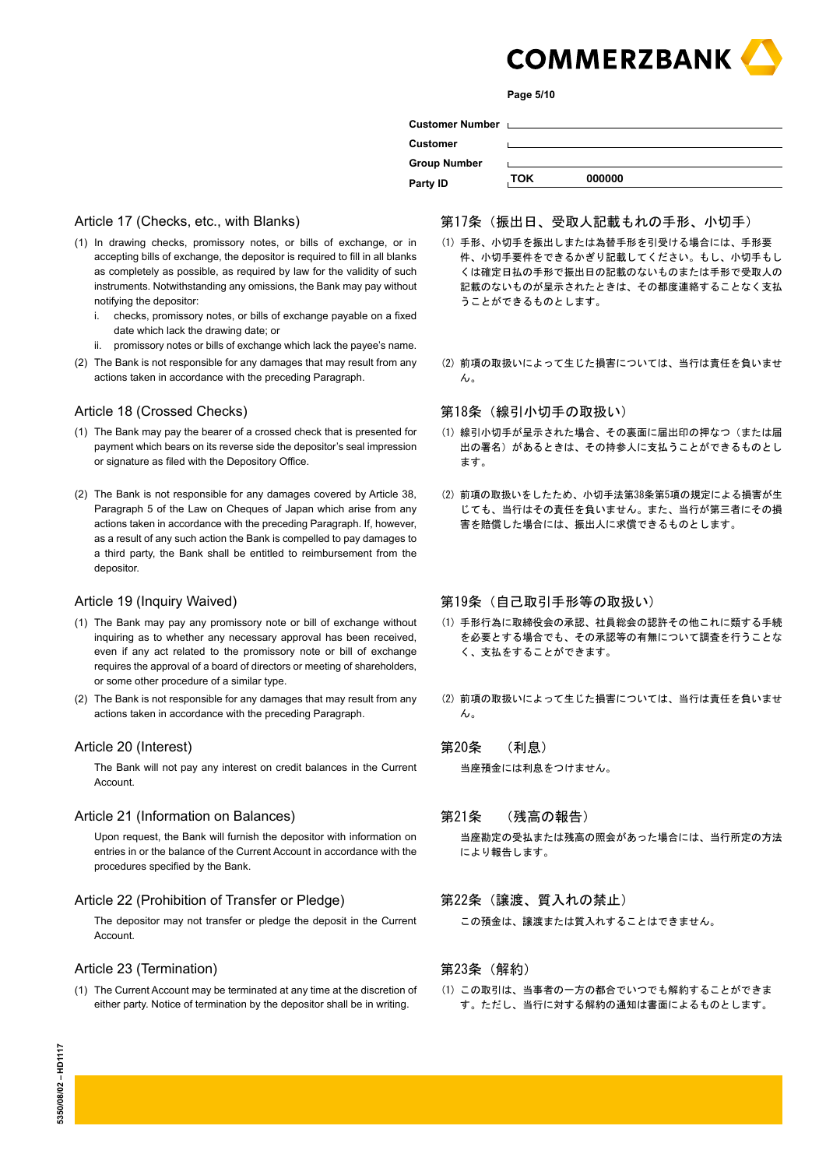

**Page 5/10**

| Customer Number <u>Letter and the manufacture</u> |     |        |
|---------------------------------------------------|-----|--------|
| Customer                                          |     |        |
| <b>Group Number</b>                               |     |        |
| Party ID                                          | TOK | 000000 |
|                                                   |     |        |

# Article 17 (Checks, etc., with Blanks)

- (1) In drawing checks, promissory notes, or bills of exchange, or in accepting bills of exchange, the depositor is required to fill in all blanks as completely as possible, as required by law for the validity of such instruments. Notwithstanding any omissions, the Bank may pay without notifying the depositor:
	- i. checks, promissory notes, or bills of exchange payable on a fixed date which lack the drawing date; or
	- ii. promissory notes or bills of exchange which lack the payee's name.
- (2) The Bank is not responsible for any damages that may result from any actions taken in accordance with the preceding Paragraph.

#### Article 18 (Crossed Checks)

- (1) The Bank may pay the bearer of a crossed check that is presented for payment which bears on its reverse side the depositor's seal impression or signature as filed with the Depository Office.
- (2) The Bank is not responsible for any damages covered by Article 38, Paragraph 5 of the Law on Cheques of Japan which arise from any actions taken in accordance with the preceding Paragraph. If, however, as a result of any such action the Bank is compelled to pay damages to a third party, the Bank shall be entitled to reimbursement from the depositor.

#### Article 19 (Inquiry Waived)

- (1) The Bank may pay any promissory note or bill of exchange without inquiring as to whether any necessary approval has been received, even if any act related to the promissory note or bill of exchange requires the approval of a board of directors or meeting of shareholders, or some other procedure of a similar type.
- (2) The Bank is not responsible for any damages that may result from any actions taken in accordance with the preceding Paragraph.

#### Article 20 (Interest)

The Bank will not pay any interest on credit balances in the Current Account.

#### Article 21 (Information on Balances)

Upon request, the Bank will furnish the depositor with information on entries in or the balance of the Current Account in accordance with the procedures specified by the Bank.

#### Article 22 (Prohibition of Transfer or Pledge)

The depositor may not transfer or pledge the deposit in the Current Account.

#### Article 23 (Termination)

(1) The Current Account may be terminated at any time at the discretion of either party. Notice of termination by the depositor shall be in writing.

# 第17条(振出日、受取人記載もれの手形、小切手)

- (1) 手形 小切手を振出しまたは為替手形を引受ける場合には、手形要 件、小切手要件をできるかぎり記載してください。もし、小切手もし くは確定日払の手形で振出日の記載のないものまたは手形で受取人の 記載のないものが呈示されたときは、その都度連絡することなく支払 うことができるものとします。
- (2) 前項の取扱いによって生じた損害については、当行は責任を負いませ ん。

#### 第18条(線引小切手の取扱い)

- (1) 線引小切手が呈示された場合、その裏面に届出印の押なつ(または届 出の署名)があるときは、その持参人に支払うことができるものとし ます。
- (2) 前項の取扱いをしたため、小切手法第38条第5項の規定による損害が生 じても、当行はその責任を負いません。また、当行が第三者にその損 害を賠償した場合には、振出人に求償できるものとします。

第19条 (自己取引手形等の取扱い)

- (1) 手形行為に取締役会の承認、社員総会の認許その他これに類する手続 を必要とする場合でも、その承認等の有無について調査を行うことな く、支払をすることができます。
- (2) 前項の取扱いによって生じた損害については、当行は責任を負いませ  $\mathcal{L}_{\lambda}$

#### 第20条 (利息)

 当座預金には利息をつけません。

第21条 (残高の報告)

 当座勘定の受払または残高の照会があった場合には、当行所定の方法 により報告します。

# 第22条(譲渡、質入れの禁止)

 この預金は、譲渡または質入れすることはできません。

# 第23条(解約)

(1) この取引は、当事者の一方の都合でいつでも解約することができま す。ただし、当行に対する解約の通知は書面によるものとします。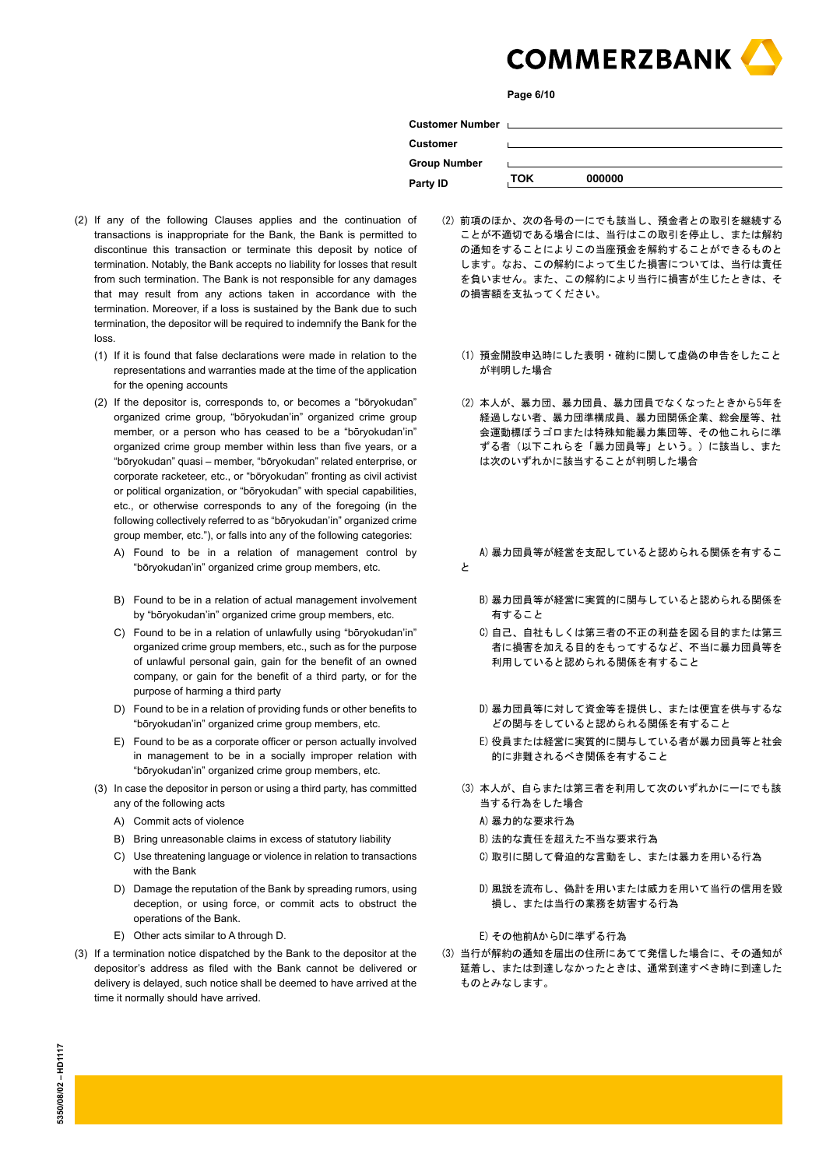

**Page 6/10**

| Customer Number Letter Management Customer Number |            |                                                                                                                 |  |
|---------------------------------------------------|------------|-----------------------------------------------------------------------------------------------------------------|--|
| Customer                                          |            |                                                                                                                 |  |
| <b>Group Number</b>                               |            | the contract of the contract of the contract of the contract of the contract of the contract of the contract of |  |
| Party ID                                          | <b>TOK</b> | 000000                                                                                                          |  |
|                                                   |            |                                                                                                                 |  |

- (2) If any of the following Clauses applies and the continuation of transactions is inappropriate for the Bank, the Bank is permitted to discontinue this transaction or terminate this deposit by notice of termination. Notably, the Bank accepts no liability for losses that result from such termination. The Bank is not responsible for any damages that may result from any actions taken in accordance with the termination. Moreover, if a loss is sustained by the Bank due to such termination, the depositor will be required to indemnify the Bank for the loss.
	- (1) If it is found that false declarations were made in relation to the representations and warranties made at the time of the application for the opening accounts
	- (2) If the depositor is, corresponds to, or becomes a "bōryokudan" organized crime group, "bōryokudan'in" organized crime group member, or a person who has ceased to be a "bōryokudan'in" organized crime group member within less than five years, or a "bōryokudan" quasi – member, "bōryokudan" related enterprise, or corporate racketeer, etc., or "bōryokudan" fronting as civil activist or political organization, or "bōryokudan" with special capabilities, etc., or otherwise corresponds to any of the foregoing (in the following collectively referred to as "bōryokudan'in" organized crime group member, etc."), or falls into any of the following categories:
		- A) Found to be in a relation of management control by "bōryokudan'in" organized crime group members, etc.
		- B) Found to be in a relation of actual management involvement by "bōryokudan'in" organized crime group members, etc.
		- C) Found to be in a relation of unlawfully using "bōryokudan'in" organized crime group members, etc., such as for the purpose of unlawful personal gain, gain for the benefit of an owned company, or gain for the benefit of a third party, or for the purpose of harming a third party
		- D) Found to be in a relation of providing funds or other benefits to "bōryokudan'in" organized crime group members, etc.
		- E) Found to be as a corporate officer or person actually involved in management to be in a socially improper relation with "bōryokudan'in" organized crime group members, etc.
	- (3) In case the depositor in person or using a third party, has committed any of the following acts
		- A) Commit acts of violence A and a set of violence A and a set of the A and a set of the A and a set of th
		- B) Bring unreasonable claims in excess of statutory liability B) 法的な責任を超えた不当な要求行為
		- C) Use threatening language or violence in relation to transactions with the Bank
		- D) Damage the reputation of the Bank by spreading rumors, using deception, or using force, or commit acts to obstruct the operations of the Bank.
		- E) Other acts similar to A through D. <br>
		E) その他前AからDに準ずる行為
- (3) If a termination notice dispatched by the Bank to the depositor at the depositor's address as filed with the Bank cannot be delivered or delivery is delayed, such notice shall be deemed to have arrived at the time it normally should have arrived.
- (2) 前項のほか、次の各号の一にでも該当し、預金者との取引を継続する ことが不適切である場合には、当行はこの取引を停止し、または解約 の通知をすることによりこの当座預金を解約することができるものと します。なお、この解約によって生じた損害については、当行は責任 を負いません。また、この解約により当行に損害が生じたときは、そ の損害額を支払ってください。
	- (1) 預金開設申込時にした表明・確約に関して虚偽の申告をしたこと が判明した場合
	- (2) 本人が、暴力団、暴力団員、暴力団員でなくなったときから5年を 経過しない者、暴力団準構成員、暴力団関係企業、総会屋等、社 会運動標ぼうゴロまたは特殊知能暴力集団等、その他これらに準 ずる者(以下これらを「暴力団員等」という。)に該当し、また は次のいずれかに該当することが判明した場合
	- A) 暴力団員等が経営を支配していると認められる関係を有するこ と
		- B) 暴力団員等が経営に実質的に関与していると認められる関係を 有すること
		- C) 自己、自社もしくは第三者の不正の利益を図る目的または第三 者に損害を加える目的をもってするなど、不当に暴力団員等を 利用していると認められる関係を有すること
		- D) 暴力団員等に対して資金等を提供し、または便宜を供与するな どの関与をしていると認められる関係を有すること
		- E) 役員または経営に実質的に関与している者が暴力団員等と社会 的に非難されるべき関係を有すること
	- (3) 本人が、自らまたは第三者を利用して次のいずれかに一にでも該 当する行為をした場合
		-
		-
		- C) 取引に関して脅迫的な言動をし、または暴力を用いる行為
		- D) 風説を流布し、偽計を用いまたは威力を用いて当行の信用を毀 損し、または当行の業務を妨害する行為

(3) 当行が解約の通知を届出の住所にあてて発信した場合に、その通知が 延着し、または到達しなかったときは、通常到達すべき時に到達した ものとみなします。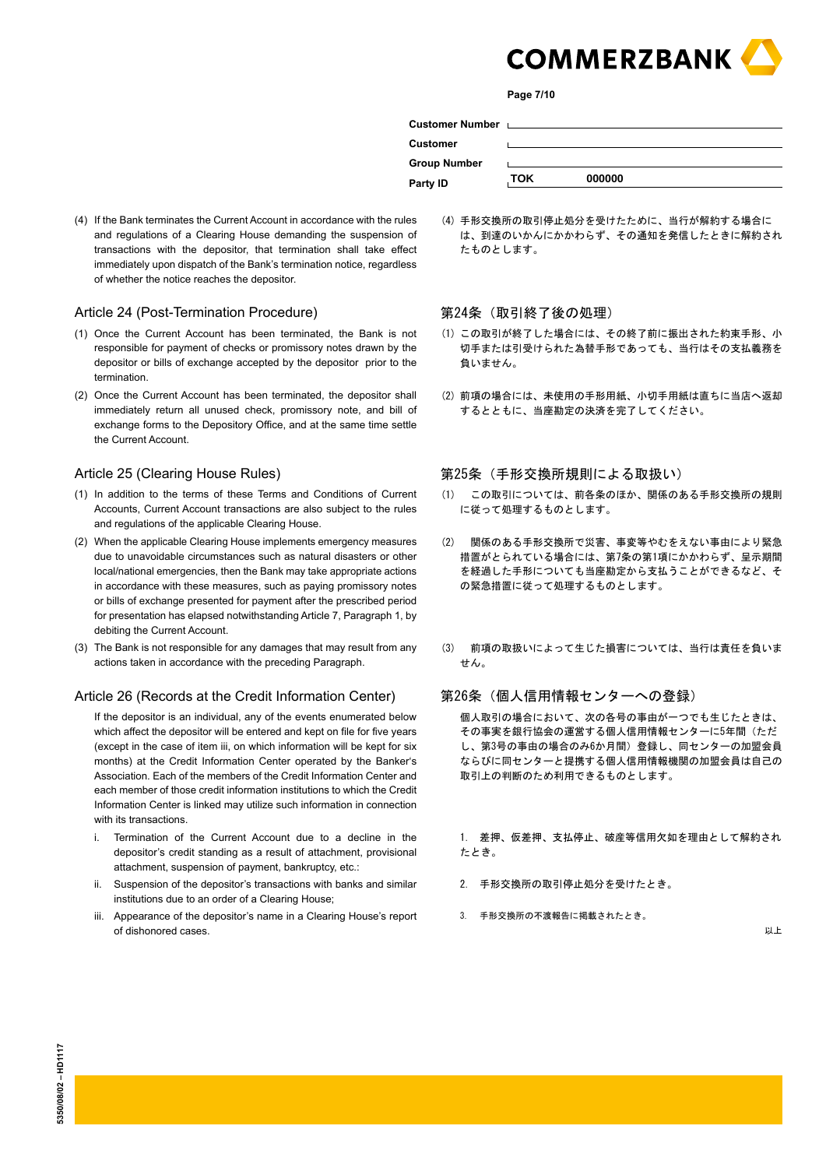

**Page 7/10**

| Customer Number Letter Letter Management Customer |     |        |  |
|---------------------------------------------------|-----|--------|--|
| Customer                                          |     |        |  |
| <b>Group Number</b>                               |     |        |  |
| Party ID                                          | ток | 000000 |  |

(4) 手形交換所の取引停止処分を受けたために、当行が解約する場合に は、到達のいかんにかかわらず、その通知を発信したときに解約され

(4) If the Bank terminates the Current Account in accordance with the rules and regulations of a Clearing House demanding the suspension of transactions with the depositor, that termination shall take effect immediately upon dispatch of the Bank's termination notice, regardless of whether the notice reaches the depositor.

# Article 24 (Post-Termination Procedure)

- (1) Once the Current Account has been terminated, the Bank is not responsible for payment of checks or promissory notes drawn by the depositor or bills of exchange accepted by the depositor prior to the termination.
- (2) Once the Current Account has been terminated, the depositor shall immediately return all unused check, promissory note, and bill of exchange forms to the Depository Office, and at the same time settle the Current Account.

#### Article 25 (Clearing House Rules)

- (1) In addition to the terms of these Terms and Conditions of Current Accounts, Current Account transactions are also subject to the rules and regulations of the applicable Clearing House.
- (2) When the applicable Clearing House implements emergency measures due to unavoidable circumstances such as natural disasters or other local/national emergencies, then the Bank may take appropriate actions in accordance with these measures, such as paying promissory notes or bills of exchange presented for payment after the prescribed period for presentation has elapsed notwithstanding Article 7, Paragraph 1, by debiting the Current Account.
- (3) The Bank is not responsible for any damages that may result from any actions taken in accordance with the preceding Paragraph.

#### Article 26 (Records at the Credit Information Center)

If the depositor is an individual, any of the events enumerated below which affect the depositor will be entered and kept on file for five years (except in the case of item iii, on which information will be kept for six months) at the Credit Information Center operated by the Banker's Association. Each of the members of the Credit Information Center and each member of those credit information institutions to which the Credit Information Center is linked may utilize such information in connection with its transactions.

- i. Termination of the Current Account due to a decline in the depositor's credit standing as a result of attachment, provisional attachment, suspension of payment, bankruptcy, etc.:
- ii. Suspension of the depositor's transactions with banks and similar institutions due to an order of a Clearing House;
- iii. Appearance of the depositor's name in a Clearing House's report of dishonored cases.

第24条(取引終了後の処理)

たものとします。

- (1) この取引が終了した場合には、その終了前に振出された約束手形、小 切手または引受けられた為替手形であっても、当行はその支払義務を 負いません。
- (2) 前項の場合には、未使用の手形用紙、小切手用紙は直ちに当店へ返却 するとともに、当座勘定の決済を完了してください。

#### 第25条(手形交換所規則による取扱い)

- (1) この取引については、前各条のほか、関係のある手形交換所の規則 に従って処理するものとします。
- (2) 関係のある手形交換所で災害、事変等やむをえない事由により緊急 措置がとられている場合には、第7条の第1項にかかわらず、呈示期間 を経過した手形についても当座勘定から支払うことができるなど、そ の緊急措置に従って処理するものとします。
- (3) 前項の取扱いによって生じた損害については、当行は責任を負いま せん。

# 第26条(個人信用情報センターへの登録)

 個人取引の場合において、次の各号の事由が一つでも生じたときは、 その事実を銀行協会の運営する個人信用情報センターに5年間(ただ し、第3号の事由の場合のみ6か月間)登録し、同センターの加盟会員 ならびに同センターと提携する個人信用情報機関の加盟会員は自己の 取引上の判断のため利用できるものとします。

 1. 差押、仮差押、支払停止、破産等信用欠如を理由として解約され たとき。

- 2. 手形交換所の取引停止処分を受けたとき。
- 3. 手形交換所の不渡報告に掲載されたとき。

以上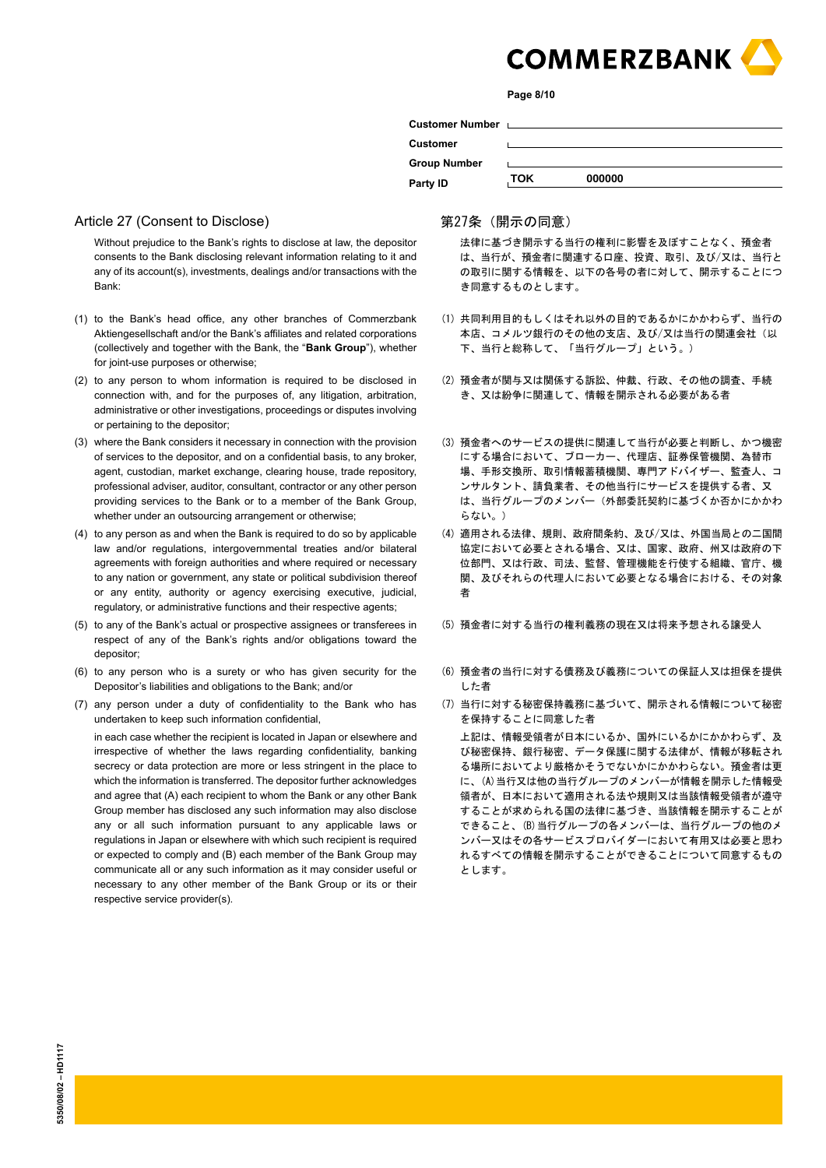

**Page 8/10**

| Customer Number Laterature and Customer Number |            |        |
|------------------------------------------------|------------|--------|
| <b>Customer</b>                                |            |        |
| <b>Group Number</b>                            |            |        |
| Party ID                                       | <b>TOK</b> | 000000 |
|                                                |            |        |

# Article 27 (Consent to Disclose)

Without prejudice to the Bank's rights to disclose at law, the depositor consents to the Bank disclosing relevant information relating to it and any of its account(s), investments, dealings and/or transactions with the Bank:

- (1) to the Bank's head office, any other branches of Commerzbank Aktiengesellschaft and/or the Bank's affiliates and related corporations (collectively and together with the Bank, the "**Bank Group**"), whether for joint-use purposes or otherwise;
- (2) to any person to whom information is required to be disclosed in connection with, and for the purposes of, any litigation, arbitration, administrative or other investigations, proceedings or disputes involving or pertaining to the depositor;
- (3) where the Bank considers it necessary in connection with the provision of services to the depositor, and on a confidential basis, to any broker, agent, custodian, market exchange, clearing house, trade repository, professional adviser, auditor, consultant, contractor or any other person providing services to the Bank or to a member of the Bank Group, whether under an outsourcing arrangement or otherwise;
- (4) to any person as and when the Bank is required to do so by applicable law and/or regulations, intergovernmental treaties and/or bilateral agreements with foreign authorities and where required or necessary to any nation or government, any state or political subdivision thereof or any entity, authority or agency exercising executive, judicial, regulatory, or administrative functions and their respective agents;
- (5) to any of the Bank's actual or prospective assignees or transferees in respect of any of the Bank's rights and/or obligations toward the depositor;
- (6) to any person who is a surety or who has given security for the Depositor's liabilities and obligations to the Bank; and/or
- (7) any person under a duty of confidentiality to the Bank who has undertaken to keep such information confidential,

in each case whether the recipient is located in Japan or elsewhere and irrespective of whether the laws regarding confidentiality, banking secrecy or data protection are more or less stringent in the place to which the information is transferred. The depositor further acknowledges and agree that (A) each recipient to whom the Bank or any other Bank Group member has disclosed any such information may also disclose any or all such information pursuant to any applicable laws or regulations in Japan or elsewhere with which such recipient is required or expected to comply and (B) each member of the Bank Group may communicate all or any such information as it may consider useful or necessary to any other member of the Bank Group or its or their respective service provider(s).

#### 第27条(開示の同意)

 法律に基づき開示する当行の権利に影響を及ぼすことなく、預金者 は、当行が、預金者に関連する口座、投資、取引、及び/又は、当行と の取引に関する情報を、以下の各号の者に対して、開示することにつ き同意するものとします。

- (1) 共同利用目的もしくはそれ以外の目的であるかにかかわらず、当行の 本店、コメルツ銀行のその他の支店、及び/又は当行の関連会社(以 下、当行と総称して、「当行グループ」という。)
- (2) 預金者が関与又は関係する訴訟、仲裁、行政、その他の調査、手続 き、又は紛争に関連して、情報を開示される必要がある者
- (3) 預金者へのサービスの提供に関連して当行が必要と判断し、かつ機密 にする場合において、ブローカー、代理店、証券保管機関、為替市 場、手形交換所、取引情報蓄積機関、専門アドバイザー、監査人、コ ンサルタント、請負業者、その他当行にサービスを提供する者、又 は、当行グループのメンバー(外部委託契約に基づくか否かにかかわ らない。)
- (4) 適用される法律、規則、政府間条約、及び/又は、外国当局との二国間 協定において必要とされる場合、又は、国家、政府、州又は政府の下 位部門、又は行政、司法、監督、管理機能を行使する組織、官庁、機 関、及びそれらの代理人において必要となる場合における、その対象 者
- (5) 預金者に対する当行の権利義務の現在又は将来予想される譲受人
- (6) 預金者の当行に対する債務及び義務についての保証人又は担保を提供 した者
- (7) 当行に対する秘密保持義務に基づいて、開示される情報について秘密 を保持することに同意した者

 上記は、情報受領者が日本にいるか、国外にいるかにかかわらず、及 び秘密保持、銀行秘密、データ保護に関する法律が、情報が移転され る場所においてより厳格かそうでないかにかかわらない。預金者は更 に、(A)当行又は他の当行グループのメンバーが情報を開示した情報受 領者が、日本において適用される法や規則又は当該情報受領者が遵守 することが求められる国の法律に基づき、当該情報を開示することが できること、(B)当行グループの各メンバーは、当行グループの他のメ ンバー又はその各サービスプロバイダーにおいて有用又は必要と思わ れるすべての情報を開示することができることについて同意するもの とします。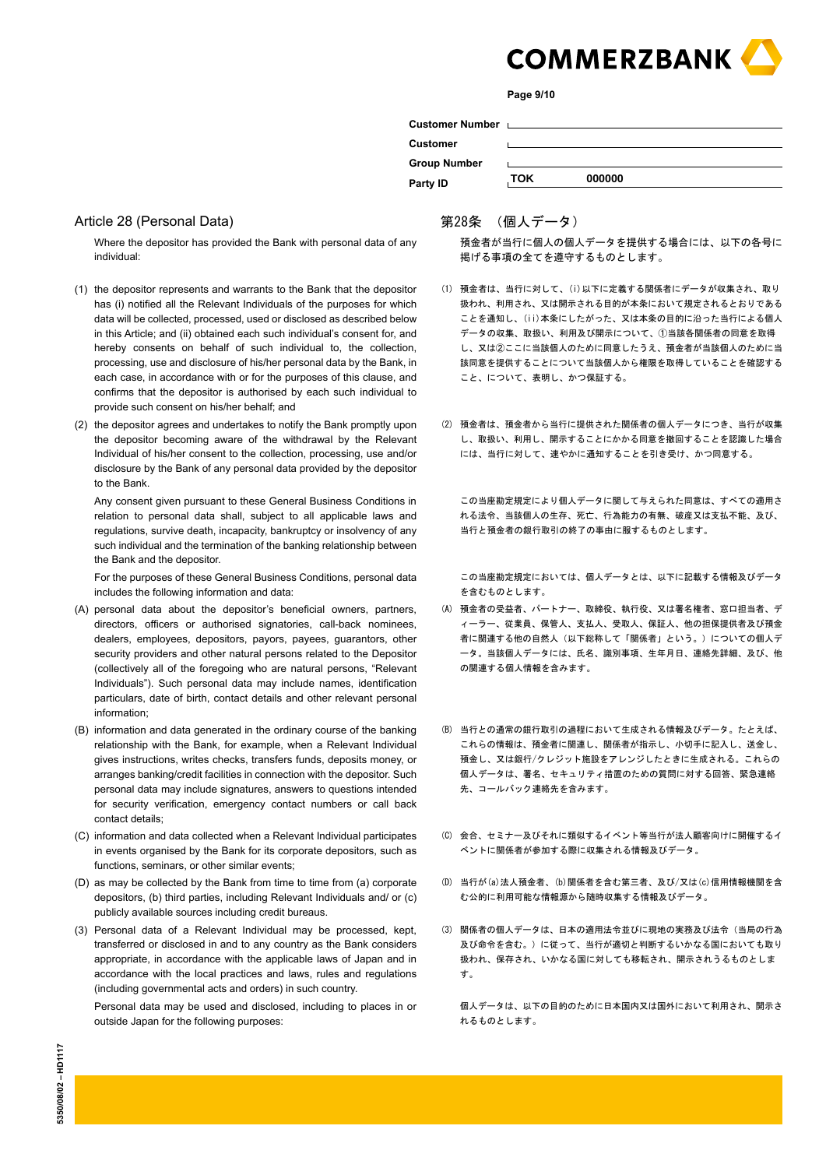

**Page 9/10**

| <b>Customer Number</b> |     |        |
|------------------------|-----|--------|
| <b>Customer</b>        |     |        |
| <b>Group Number</b>    |     |        |
| Party ID               | ток | 000000 |

#### Article 28 (Personal Data)

Where the depositor has provided the Bank with personal data of any individual:

- (1) the depositor represents and warrants to the Bank that the depositor has (i) notified all the Relevant Individuals of the purposes for which data will be collected, processed, used or disclosed as described below in this Article; and (ii) obtained each such individual's consent for, and hereby consents on behalf of such individual to, the collection, processing, use and disclosure of his/her personal data by the Bank, in each case, in accordance with or for the purposes of this clause, and confirms that the depositor is authorised by each such individual to provide such consent on his/her behalf; and
- (2) the depositor agrees and undertakes to notify the Bank promptly upon the depositor becoming aware of the withdrawal by the Relevant Individual of his/her consent to the collection, processing, use and/or disclosure by the Bank of any personal data provided by the depositor to the Bank.

Any consent given pursuant to these General Business Conditions in relation to personal data shall, subject to all applicable laws and regulations, survive death, incapacity, bankruptcy or insolvency of any such individual and the termination of the banking relationship between the Bank and the depositor.

For the purposes of these General Business Conditions, personal data includes the following information and data:

- (A) personal data about the depositor's beneficial owners, partners, directors, officers or authorised signatories, call-back nominees, dealers, employees, depositors, payors, payees, guarantors, other security providers and other natural persons related to the Depositor (collectively all of the foregoing who are natural persons, "Relevant Individuals"). Such personal data may include names, identification particulars, date of birth, contact details and other relevant personal information;
- (B) information and data generated in the ordinary course of the banking relationship with the Bank, for example, when a Relevant Individual gives instructions, writes checks, transfers funds, deposits money, or arranges banking/credit facilities in connection with the depositor. Such personal data may include signatures, answers to questions intended for security verification, emergency contact numbers or call back contact details;
- (C) information and data collected when a Relevant Individual participates in events organised by the Bank for its corporate depositors, such as functions, seminars, or other similar events;
- (D) as may be collected by the Bank from time to time from (a) corporate depositors, (b) third parties, including Relevant Individuals and/ or (c) publicly available sources including credit bureaus.
- (3) Personal data of a Relevant Individual may be processed, kept, transferred or disclosed in and to any country as the Bank considers appropriate, in accordance with the applicable laws of Japan and in accordance with the local practices and laws, rules and regulations (including governmental acts and orders) in such country.

Personal data may be used and disclosed, including to places in or outside Japan for the following purposes:

# 第28条 (個人データ)

 預金者が当行に個人の個人データを提供する場合には、以下の各号に 掲げる事項の全てを遵守するものとします。

- (1) 預金者は、当行に対して、(i)以下に定義する関係者にデータが収集され、取り 扱われ、利用され、又は開示される目的が本条において規定されるとおりである ことを通知し、(ii)本条にしたがった、又は本条の目的に沿った当行による個人 データの収集、取扱い、利用及び開示について、①当該各関係者の同意を取得 し、又は②ここに当該個人のために同意したうえ、預金者が当該個人のために当 該同意を提供することについて当該個人から権限を取得していることを確認する こと、について、表明し、かつ保証する。
- (2) 預金者は、預金者から当行に提供された関係者の個人データにつき、当行が収集 し、取扱い、利用し、開示することにかかる同意を撤回することを認識した場合 には、当行に対して、速やかに通知することを引き受け、かつ同意する。

 この当座勘定規定により個人データに関して与えられた同意は、すべての適用さ れる法令、当該個人の生存、死亡、行為能力の有無、破産又は支払不能、及び、 当行と預金者の銀行取引の終了の事由に服するものとします。

 この当座勘定規定においては、個人データとは、以下に記載する情報及びデータ を含むものとします。

- (A) 預金者の受益者、パートナー、取締役、執行役、又は署名権者、窓口担当者、デ ィーラー、従業員、保管人、支払人、受取人、保証人、他の担保提供者及び預金 者に関連する他の自然人(以下総称して「関係者」という。)についての個人デ ータ。当該個人データには、氏名、識別事項、生年月日、連絡先詳細、及び、他 の関連する個人情報を含みます。
- (B) 当行との通常の銀行取引の過程において生成される情報及びデータ。たとえば、 これらの情報は、預金者に関連し、関係者が指示し、小切手に記入し、送金し、 預金し、又は銀行/クレジット施設をアレンジしたときに生成される。これらの 個人データは、署名、セキュリティ措置のための質問に対する回答、緊急連絡 先、コールバック連絡先を含みます。
- (C) 会合、セミナー及びそれに類似するイベント等当行が法人顧客向けに開催するイ ベントに関係者が参加する際に収集される情報及びデータ。
- (D) 当行が(a)法人預金者、(b)関係者を含む第三者、及び/又は(c)信用情報機関を含 む公的に利用可能な情報源から随時収集する情報及びデータ。
- (3) 関係者の個人データは、日本の適用法令並びに現地の実務及び法令(当局の行為 及び命令を含む。)に従って、当行が適切と判断するいかなる国においても取り 扱われ、保存され、いかなる国に対しても移転され、開示されうるものとしま す。

 個人データは、以下の目的のために日本国内又は国外において利用され、開示さ れるものとします。